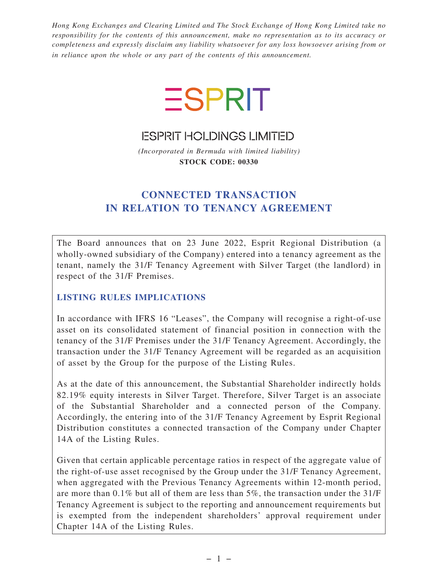*Hong Kong Exchanges and Clearing Limited and The Stock Exchange of Hong Kong Limited take no responsibility for the contents of this announcement, make no representation as to its accuracy or completeness and expressly disclaim any liability whatsoever for any loss howsoever arising from or in reliance upon the whole or any part of the contents of this announcement.*



**ESPRIT HOLDINGS LIMITED** 

*(Incorporated in Bermuda with limited liability)* **STOCK CODE: 00330**

# **CONNECTED TRANSACTION IN RELATION TO TENANCY AGREEMENT**

The Board announces that on 23 June 2022, Esprit Regional Distribution (a wholly-owned subsidiary of the Company) entered into a tenancy agreement as the tenant, namely the 31/F Tenancy Agreement with Silver Target (the landlord) in respect of the 31/F Premises.

# **LISTING RULES IMPLICATIONS**

In accordance with IFRS 16 "Leases", the Company will recognise a right-of-use asset on its consolidated statement of financial position in connection with the tenancy of the 31/F Premises under the 31/F Tenancy Agreement. Accordingly, the transaction under the 31/F Tenancy Agreement will be regarded as an acquisition of asset by the Group for the purpose of the Listing Rules.

As at the date of this announcement, the Substantial Shareholder indirectly holds 82.19% equity interests in Silver Target. Therefore, Silver Target is an associate of the Substantial Shareholder and a connected person of the Company. Accordingly, the entering into of the 31/F Tenancy Agreement by Esprit Regional Distribution constitutes a connected transaction of the Company under Chapter 14A of the Listing Rules.

Given that certain applicable percentage ratios in respect of the aggregate value of the right-of-use asset recognised by the Group under the 31/F Tenancy Agreement, when aggregated with the Previous Tenancy Agreements within 12-month period, are more than 0.1% but all of them are less than 5%, the transaction under the 31/F Tenancy Agreement is subject to the reporting and announcement requirements but is exempted from the independent shareholders' approval requirement under Chapter 14A of the Listing Rules.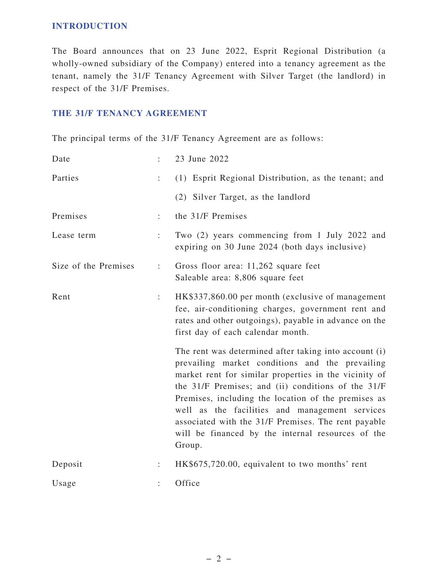#### **INTRODUCTION**

The Board announces that on 23 June 2022, Esprit Regional Distribution (a wholly-owned subsidiary of the Company) entered into a tenancy agreement as the tenant, namely the 31/F Tenancy Agreement with Silver Target (the landlord) in respect of the 31/F Premises.

#### **THE 31/F TENANCY AGREEMENT**

The principal terms of the 31/F Tenancy Agreement are as follows:

| Date                 |                      | 23 June 2022                                                                                                                                                                                                                                                                                                                                                                                                                                           |
|----------------------|----------------------|--------------------------------------------------------------------------------------------------------------------------------------------------------------------------------------------------------------------------------------------------------------------------------------------------------------------------------------------------------------------------------------------------------------------------------------------------------|
| Parties              | ÷                    | (1) Esprit Regional Distribution, as the tenant; and                                                                                                                                                                                                                                                                                                                                                                                                   |
|                      |                      | (2) Silver Target, as the landlord                                                                                                                                                                                                                                                                                                                                                                                                                     |
| Premises             | ÷                    | the 31/F Premises                                                                                                                                                                                                                                                                                                                                                                                                                                      |
| Lease term           | $\ddot{\phantom{a}}$ | Two (2) years commencing from 1 July 2022 and<br>expiring on 30 June 2024 (both days inclusive)                                                                                                                                                                                                                                                                                                                                                        |
| Size of the Premises | $\ddot{\phantom{a}}$ | Gross floor area: 11,262 square feet<br>Saleable area: 8,806 square feet                                                                                                                                                                                                                                                                                                                                                                               |
| Rent                 | ÷                    | HK\$337,860.00 per month (exclusive of management<br>fee, air-conditioning charges, government rent and<br>rates and other outgoings), payable in advance on the<br>first day of each calendar month.                                                                                                                                                                                                                                                  |
|                      |                      | The rent was determined after taking into account (i)<br>prevailing market conditions and the prevailing<br>market rent for similar properties in the vicinity of<br>the 31/F Premises; and (ii) conditions of the 31/F<br>Premises, including the location of the premises as<br>well as the facilities and management services<br>associated with the 31/F Premises. The rent payable<br>will be financed by the internal resources of the<br>Group. |
| Deposit              |                      | HK\$675,720.00, equivalent to two months' rent                                                                                                                                                                                                                                                                                                                                                                                                         |
| Usage                |                      | Office                                                                                                                                                                                                                                                                                                                                                                                                                                                 |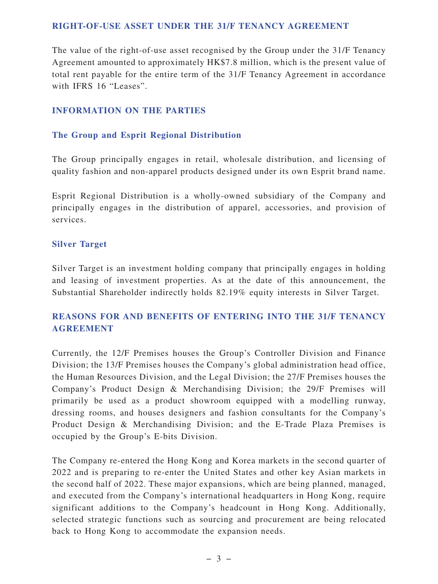#### **RIGHT-OF-USE ASSET UNDER THE 31/F TENANCY AGREEMENT**

The value of the right-of-use asset recognised by the Group under the 31/F Tenancy Agreement amounted to approximately HK\$7.8 million, which is the present value of total rent payable for the entire term of the 31/F Tenancy Agreement in accordance with IFRS 16 "Leases".

#### **INFORMATION ON THE PARTIES**

#### **The Group and Esprit Regional Distribution**

The Group principally engages in retail, wholesale distribution, and licensing of quality fashion and non-apparel products designed under its own Esprit brand name.

Esprit Regional Distribution is a wholly-owned subsidiary of the Company and principally engages in the distribution of apparel, accessories, and provision of services.

#### **Silver Target**

Silver Target is an investment holding company that principally engages in holding and leasing of investment properties. As at the date of this announcement, the Substantial Shareholder indirectly holds 82.19% equity interests in Silver Target.

# **REASONS FOR AND BENEFITS OF ENTERING INTO THE 31/F TENANCY AGREEMENT**

Currently, the 12/F Premises houses the Group's Controller Division and Finance Division; the 13/F Premises houses the Company's global administration head office, the Human Resources Division, and the Legal Division; the 27/F Premises houses the Company's Product Design & Merchandising Division; the 29/F Premises will primarily be used as a product showroom equipped with a modelling runway, dressing rooms, and houses designers and fashion consultants for the Company's Product Design & Merchandising Division; and the E-Trade Plaza Premises is occupied by the Group's E-bits Division.

The Company re-entered the Hong Kong and Korea markets in the second quarter of 2022 and is preparing to re-enter the United States and other key Asian markets in the second half of 2022. These major expansions, which are being planned, managed, and executed from the Company's international headquarters in Hong Kong, require significant additions to the Company's headcount in Hong Kong. Additionally, selected strategic functions such as sourcing and procurement are being relocated back to Hong Kong to accommodate the expansion needs.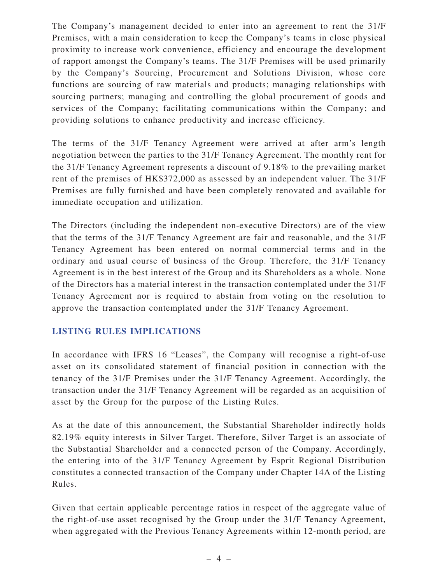The Company's management decided to enter into an agreement to rent the 31/F Premises, with a main consideration to keep the Company's teams in close physical proximity to increase work convenience, efficiency and encourage the development of rapport amongst the Company's teams. The 31/F Premises will be used primarily by the Company's Sourcing, Procurement and Solutions Division, whose core functions are sourcing of raw materials and products; managing relationships with sourcing partners; managing and controlling the global procurement of goods and services of the Company; facilitating communications within the Company; and providing solutions to enhance productivity and increase efficiency.

The terms of the 31/F Tenancy Agreement were arrived at after arm's length negotiation between the parties to the 31/F Tenancy Agreement. The monthly rent for the 31/F Tenancy Agreement represents a discount of 9.18% to the prevailing market rent of the premises of HK\$372,000 as assessed by an independent valuer. The 31/F Premises are fully furnished and have been completely renovated and available for immediate occupation and utilization.

The Directors (including the independent non-executive Directors) are of the view that the terms of the 31/F Tenancy Agreement are fair and reasonable, and the 31/F Tenancy Agreement has been entered on normal commercial terms and in the ordinary and usual course of business of the Group. Therefore, the 31/F Tenancy Agreement is in the best interest of the Group and its Shareholders as a whole. None of the Directors has a material interest in the transaction contemplated under the 31/F Tenancy Agreement nor is required to abstain from voting on the resolution to approve the transaction contemplated under the 31/F Tenancy Agreement.

# **LISTING RULES IMPLICATIONS**

In accordance with IFRS 16 "Leases", the Company will recognise a right-of-use asset on its consolidated statement of financial position in connection with the tenancy of the 31/F Premises under the 31/F Tenancy Agreement. Accordingly, the transaction under the 31/F Tenancy Agreement will be regarded as an acquisition of asset by the Group for the purpose of the Listing Rules.

As at the date of this announcement, the Substantial Shareholder indirectly holds 82.19% equity interests in Silver Target. Therefore, Silver Target is an associate of the Substantial Shareholder and a connected person of the Company. Accordingly, the entering into of the 31/F Tenancy Agreement by Esprit Regional Distribution constitutes a connected transaction of the Company under Chapter 14A of the Listing Rules.

Given that certain applicable percentage ratios in respect of the aggregate value of the right-of-use asset recognised by the Group under the 31/F Tenancy Agreement, when aggregated with the Previous Tenancy Agreements within 12-month period, are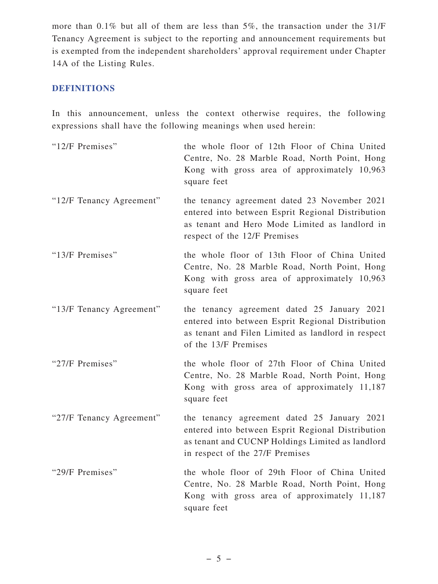more than 0.1% but all of them are less than 5%, the transaction under the 31/F Tenancy Agreement is subject to the reporting and announcement requirements but is exempted from the independent shareholders' approval requirement under Chapter 14A of the Listing Rules.

# **DEFINITIONS**

In this announcement, unless the context otherwise requires, the following expressions shall have the following meanings when used herein:

| "12/F Premises"          | the whole floor of 12th Floor of China United<br>Centre, No. 28 Marble Road, North Point, Hong<br>Kong with gross area of approximately 10,963<br>square feet                           |
|--------------------------|-----------------------------------------------------------------------------------------------------------------------------------------------------------------------------------------|
| "12/F Tenancy Agreement" | the tenancy agreement dated 23 November 2021<br>entered into between Esprit Regional Distribution<br>as tenant and Hero Mode Limited as landlord in<br>respect of the 12/F Premises     |
| "13/F Premises"          | the whole floor of 13th Floor of China United<br>Centre, No. 28 Marble Road, North Point, Hong<br>Kong with gross area of approximately 10,963<br>square feet                           |
| "13/F Tenancy Agreement" | the tenancy agreement dated 25 January 2021<br>entered into between Esprit Regional Distribution<br>as tenant and Filen Limited as landlord in respect<br>of the 13/F Premises          |
| "27/F Premises"          | the whole floor of 27th Floor of China United<br>Centre, No. 28 Marble Road, North Point, Hong<br>Kong with gross area of approximately 11,187<br>square feet                           |
| "27/F Tenancy Agreement" | the tenancy agreement dated 25 January 2021<br>entered into between Esprit Regional Distribution<br>as tenant and CUCNP Holdings Limited as landlord<br>in respect of the 27/F Premises |
| "29/F Premises"          | the whole floor of 29th Floor of China United<br>Centre, No. 28 Marble Road, North Point, Hong<br>Kong with gross area of approximately 11,187<br>square feet                           |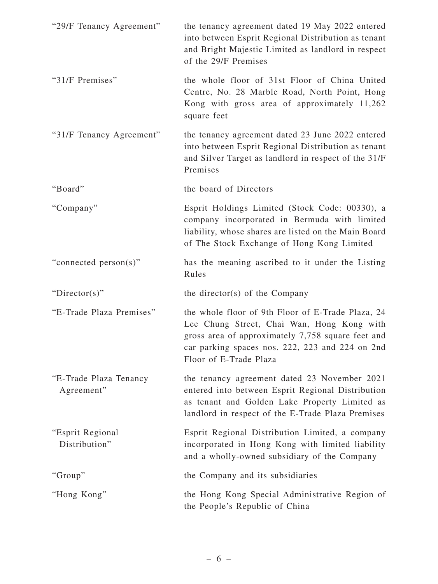| "29/F Tenancy Agreement"             | the tenancy agreement dated 19 May 2022 entered<br>into between Esprit Regional Distribution as tenant<br>and Bright Majestic Limited as landlord in respect<br>of the 29/F Premises                                              |
|--------------------------------------|-----------------------------------------------------------------------------------------------------------------------------------------------------------------------------------------------------------------------------------|
| "31/F Premises"                      | the whole floor of 31st Floor of China United<br>Centre, No. 28 Marble Road, North Point, Hong<br>Kong with gross area of approximately 11,262<br>square feet                                                                     |
| "31/F Tenancy Agreement"             | the tenancy agreement dated 23 June 2022 entered<br>into between Esprit Regional Distribution as tenant<br>and Silver Target as landlord in respect of the 31/F<br>Premises                                                       |
| "Board"                              | the board of Directors                                                                                                                                                                                                            |
| "Company"                            | Esprit Holdings Limited (Stock Code: 00330), a<br>company incorporated in Bermuda with limited<br>liability, whose shares are listed on the Main Board<br>of The Stock Exchange of Hong Kong Limited                              |
| "connected person(s)"                | has the meaning ascribed to it under the Listing<br>Rules                                                                                                                                                                         |
| " $Directory$ "                      | the director(s) of the Company                                                                                                                                                                                                    |
| "E-Trade Plaza Premises"             | the whole floor of 9th Floor of E-Trade Plaza, 24<br>Lee Chung Street, Chai Wan, Hong Kong with<br>gross area of approximately 7,758 square feet and<br>car parking spaces nos. 222, 223 and 224 on 2nd<br>Floor of E-Trade Plaza |
| "E-Trade Plaza Tenancy<br>Agreement" | the tenancy agreement dated 23 November 2021<br>entered into between Esprit Regional Distribution<br>as tenant and Golden Lake Property Limited as<br>landlord in respect of the E-Trade Plaza Premises                           |
| "Esprit Regional<br>Distribution"    | Esprit Regional Distribution Limited, a company<br>incorporated in Hong Kong with limited liability<br>and a wholly-owned subsidiary of the Company                                                                               |
| "Group"                              | the Company and its subsidiaries                                                                                                                                                                                                  |
| "Hong Kong"                          | the Hong Kong Special Administrative Region of<br>the People's Republic of China                                                                                                                                                  |